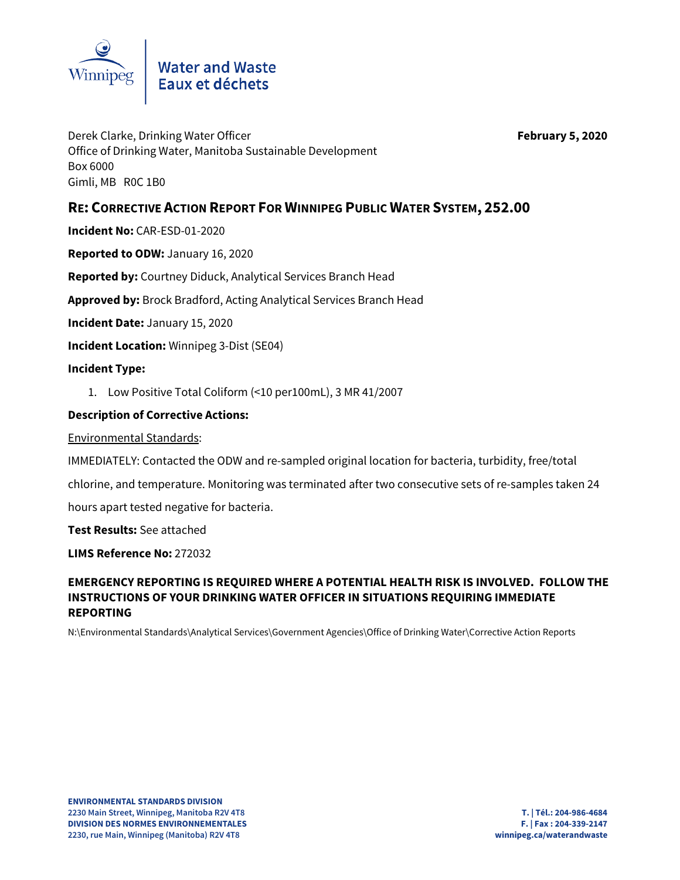

# Water and Waste<br>Eaux et déchets

Derek Clarke, Drinking Water Officer **February 5, 2020** Office of Drinking Water, Manitoba Sustainable Development Box 6000 Gimli, MB R0C 1B0

## **RE: CORRECTIVE ACTION REPORT FOR WINNIPEG PUBLIC WATER SYSTEM, 252.00**

**Incident No:** CAR-ESD-01-2020

**Reported to ODW:** January 16, 2020

**Reported by:** Courtney Diduck, Analytical Services Branch Head

**Approved by:** Brock Bradford, Acting Analytical Services Branch Head

**Incident Date:** January 15, 2020

**Incident Location:** Winnipeg 3-Dist (SE04)

#### **Incident Type:**

1. Low Positive Total Coliform (<10 per100mL), 3 MR 41/2007

#### **Description of Corrective Actions:**

Environmental Standards:

IMMEDIATELY: Contacted the ODW and re-sampled original location for bacteria, turbidity, free/total

chlorine, and temperature. Monitoring was terminated after two consecutive sets of re-samples taken 24

hours apart tested negative for bacteria.

**Test Results:** See attached

**LIMS Reference No:** 272032

### **EMERGENCY REPORTING IS REQUIRED WHERE A POTENTIAL HEALTH RISK IS INVOLVED. FOLLOW THE INSTRUCTIONS OF YOUR DRINKING WATER OFFICER IN SITUATIONS REQUIRING IMMEDIATE REPORTING**

N:\Environmental Standards\Analytical Services\Government Agencies\Office of Drinking Water\Corrective Action Reports